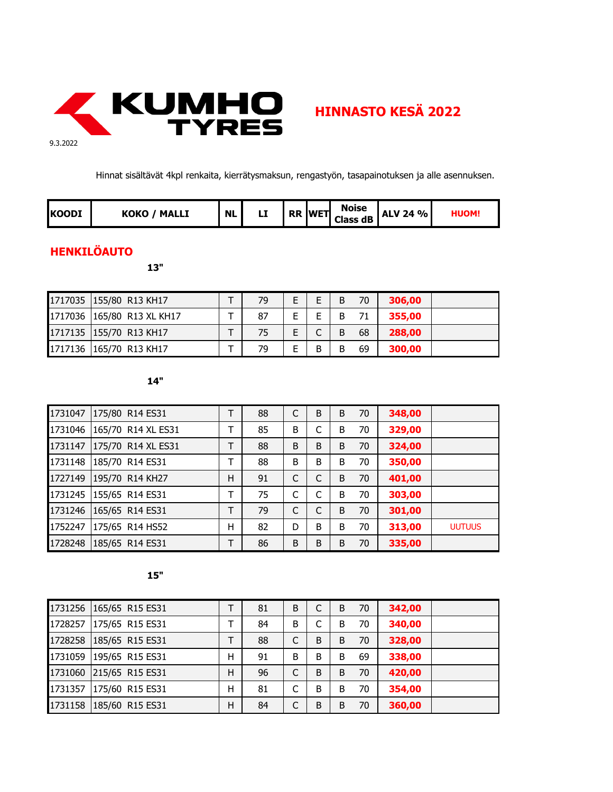

Hinnat sisältävät 4kpl renkaita, kierrätysmaksun, rengastyön, tasapainotuksen ja alle asennuksen.

| <b>KOODI</b> | коко<br><b>MALLI</b> | <b>NL</b> | LL |  | <b>RR IWETI</b> | <b>Noise</b><br><b>Class dB</b> | <b>ALV 24 %</b> | HUOM. |
|--------------|----------------------|-----------|----|--|-----------------|---------------------------------|-----------------|-------|
|--------------|----------------------|-----------|----|--|-----------------|---------------------------------|-----------------|-------|

# **HENKILÖAUTO**

**13"**

| 1717035 155/80 R13 KH17    | 79 | E. | B | 70 | 306,00 |  |
|----------------------------|----|----|---|----|--------|--|
| 1717036 165/80 R13 XL KH17 | 87 |    |   |    | 355,00 |  |
| 1717135 155/70 R13 KH17    | 75 |    | B | 68 | 288,00 |  |
| 1717136 165/70 R13 KH17    | 79 | R  | B | 69 | 300,00 |  |

**14"**

| 1731047 | 175/80 R14 ES31         | Т | 88 | C | B | B | 70 | 348,00 |               |
|---------|-------------------------|---|----|---|---|---|----|--------|---------------|
| 1731046 | 165/70 R14 XL ES31      | Т | 85 | B |   | B | 70 | 329,00 |               |
| 1731147 | 175/70 R14 XL ES31      | Т | 88 | B | B | B | 70 | 324,00 |               |
| 1731148 | 185/70 R14 ES31         | т | 88 | B | B | B | 70 | 350,00 |               |
| 1727149 | 195/70 R14 KH27         | н | 91 | C |   | B | 70 | 401,00 |               |
|         | 1731245 155/65 R14 ES31 | т | 75 | C |   | B | 70 | 303,00 |               |
| 1731246 | 165/65 R14 ES31         | Т | 79 | C |   | B | 70 | 301,00 |               |
| 1752247 | 175/65 R14 HS52         | Η | 82 | D | B | B | 70 | 313,00 | <b>UUTUUS</b> |
| 1728248 | 185/65 R14 ES31         | T | 86 | B | B | B | 70 | 335,00 |               |

|         | 1731256 165/65 R15 ES31 |   | 81 | B |   | B | 70 | 342,00 |  |
|---------|-------------------------|---|----|---|---|---|----|--------|--|
|         | 1728257 175/65 R15 ES31 | т | 84 | B |   | B | 70 | 340,00 |  |
|         | 1728258 185/65 R15 ES31 | т | 88 | C | B | B | 70 | 328,00 |  |
|         | 1731059 195/65 R15 ES31 | Н | 91 | B | B | B | 69 | 338,00 |  |
|         | 1731060 215/65 R15 ES31 | H | 96 | C | B | B | 70 | 420,00 |  |
| 1731357 | 175/60 R15 ES31         | н | 81 | C | B | B | 70 | 354,00 |  |
|         | 1731158 185/60 R15 ES31 | H | 84 | C | B | B | 70 | 360,00 |  |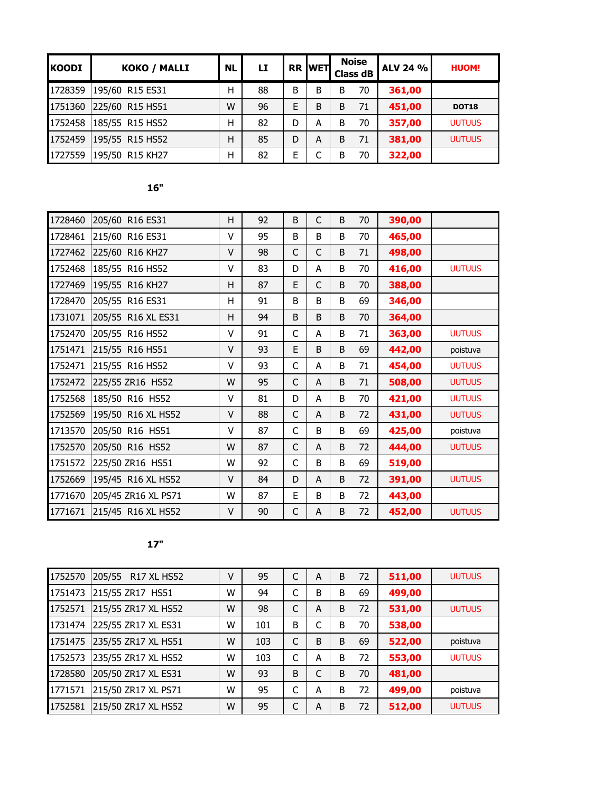| <b>KOODI</b> | <b>KOKO / MALLI</b> | <b>NL</b> | LI |   | <b>RR WET</b> |   | <b>Noise</b><br><b>Class dB</b> | <b>ALV 24 %</b> | <b>HUOM!</b>  |
|--------------|---------------------|-----------|----|---|---------------|---|---------------------------------|-----------------|---------------|
| 1728359      | 195/60 R15 ES31     | Н         | 88 | B | B             | B | 70                              | 361,00          |               |
| 1751360      | 225/60 R15 HS51     | W         | 96 | E | B             | B | 71                              | 451,00          | <b>DOT18</b>  |
| 1752458      | 185/55 R15 HS52     | Н         | 82 | D | A             | B | 70                              | 357,00          | <b>UUTUUS</b> |
| 1752459      | 195/55 R15 HS52     | H         | 85 | D | A             | B | 71                              | 381,00          | <b>UUTUUS</b> |
| 1727559      | 195/50 R15 KH27     | Н         | 82 | E |               | B | 70                              | 322,00          |               |

| ÷<br>×                 |  |
|------------------------|--|
| a.<br>×<br>I<br>×<br>٠ |  |

| 1728460 | 205/60 R16 ES31     | Η | 92 | B  | $\mathsf{C}$ | B | 70 | 390,00 |               |
|---------|---------------------|---|----|----|--------------|---|----|--------|---------------|
| 1728461 | 215/60 R16 ES31     | v | 95 | B  | B            | B | 70 | 465,00 |               |
| 1727462 | 225/60 R16 KH27     | V | 98 | C  | C            | B | 71 | 498,00 |               |
| 1752468 | 185/55 R16 HS52     | v | 83 | D  | A            | B | 70 | 416,00 | <b>UUTUUS</b> |
| 1727469 | 195/55 R16 KH27     | Η | 87 | E. | C            | B | 70 | 388,00 |               |
| 1728470 | 205/55 R16 ES31     | н | 91 | B  | B            | B | 69 | 346,00 |               |
| 1731071 | 205/55 R16 XL ES31  | H | 94 | B  | B            | B | 70 | 364,00 |               |
| 1752470 | 205/55 R16 HS52     | v | 91 | C  | A            | B | 71 | 363,00 | <b>UUTUUS</b> |
| 1751471 | 215/55 R16 HS51     | V | 93 | E. | B            | B | 69 | 442,00 | poistuva      |
| 1752471 | 215/55 R16 HS52     | v | 93 | C  | A            | B | 71 | 454,00 | <b>UUTUUS</b> |
| 1752472 | 225/55 ZR16 HS52    | W | 95 | C  | A            | B | 71 | 508,00 | <b>UUTUUS</b> |
| 1752568 | 185/50 R16 HS52     | v | 81 | D  | A            | B | 70 | 421,00 | <b>UUTUUS</b> |
| 1752569 | 195/50 R16 XL HS52  | V | 88 | C  | A            | B | 72 | 431,00 | <b>UUTUUS</b> |
| 1713570 | 205/50 R16 HS51     | v | 87 | C  | B            | B | 69 | 425,00 | poistuva      |
| 1752570 | 205/50 R16 HS52     | W | 87 | C  | A            | B | 72 | 444,00 | <b>UUTUUS</b> |
| 1751572 | 225/50 ZR16 HS51    | W | 92 | C  | B            | B | 69 | 519,00 |               |
| 1752669 | 195/45 R16 XL HS52  | V | 84 | D  | A            | B | 72 | 391,00 | <b>UUTUUS</b> |
| 1771670 | 205/45 ZR16 XL PS71 | W | 87 | E  | B            | B | 72 | 443,00 |               |
| 1771671 | 215/45 R16 XL HS52  | v | 90 | C  | A            | B | 72 | 452,00 | <b>UUTUUS</b> |

| 1752570 | 205/55<br><b>R17 XL HS52</b> | ۷ | 95  | C | A | B | 72 | 511,00 | <b>UUTUUS</b> |
|---------|------------------------------|---|-----|---|---|---|----|--------|---------------|
| 1751473 | 215/55 ZR17 HS51             | W | 94  | C | B | B | 69 | 499,00 |               |
| 1752571 | 215/55 ZR17 XL HS52          | W | 98  | C | A | B | 72 | 531,00 | <b>UUTUUS</b> |
| 1731474 | 225/55 ZR17 XL ES31          | W | 101 | B |   | B | 70 | 538,00 |               |
| 1751475 | 235/55 ZR17 XL HS51          | W | 103 | C | B | B | 69 | 522,00 | poistuva      |
| 1752573 | 235/55 ZR17 XL HS52          | W | 103 | C | A | B | 72 | 553,00 | <b>UUTUUS</b> |
| 1728580 | 205/50 ZR17 XL ES31          | W | 93  | B |   | B | 70 | 481,00 |               |
| 1771571 | 215/50 ZR17 XL PS71          | W | 95  | C | A | B | 72 | 499,00 | poistuva      |
| 1752581 | 215/50 ZR17 XL HS52          | W | 95  | C | A | B | 72 | 512,00 | <b>UUTUUS</b> |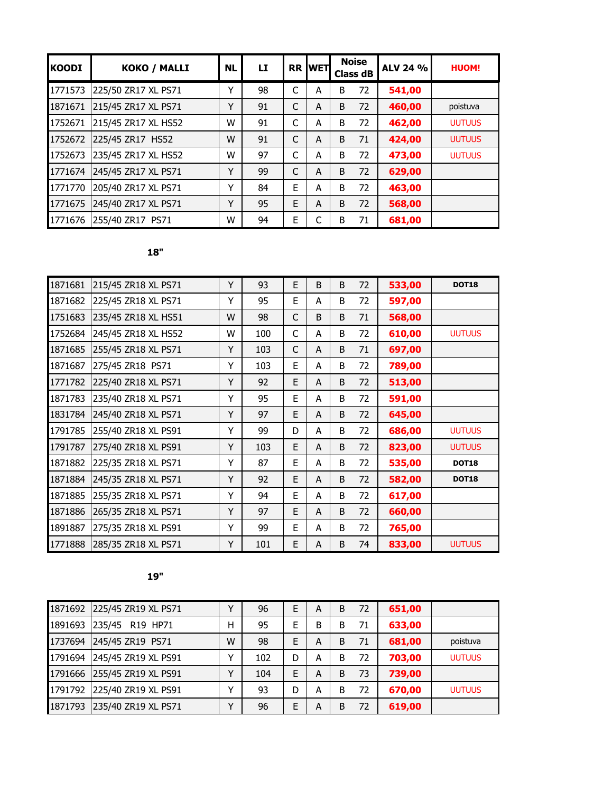| <b>KOODI</b> | KOKO / MALLI        | <b>NL</b> | LI |   | <b>RR WET</b> |   | <b>Noise</b><br><b>Class dB</b> | ALV 24 % | <b>HUOM!</b>  |
|--------------|---------------------|-----------|----|---|---------------|---|---------------------------------|----------|---------------|
| 1771573      | 225/50 ZR17 XL PS71 | Y         | 98 | C | A             | B | 72                              | 541,00   |               |
| 1871671      | 215/45 ZR17 XL PS71 | Y         | 91 | C | A             | B | 72                              | 460,00   | poistuva      |
| 1752671      | 215/45 ZR17 XL HS52 | W         | 91 | C | A             | B | 72                              | 462,00   | <b>UUTUUS</b> |
| 1752672      | 225/45 ZR17 HS52    | W         | 91 | C | A             | B | 71                              | 424,00   | <b>UUTUUS</b> |
| 1752673      | 235/45 ZR17 XL HS52 | W         | 97 | C | A             | B | 72                              | 473,00   | <b>UUTUUS</b> |
| 1771674      | 245/45 ZR17 XL PS71 | Y         | 99 | C | A             | B | 72                              | 629,00   |               |
| 1771770      | 205/40 ZR17 XL PS71 | Y         | 84 | E | A             | B | 72                              | 463,00   |               |
| 1771675      | 245/40 ZR17 XL PS71 | Υ         | 95 | E | A             | B | 72                              | 568,00   |               |
| 1771676      | 255/40 ZR17 PS71    | W         | 94 | E |               | B | 71                              | 681,00   |               |

| 1871681 | 215/45 ZR18 XL PS71 | Y | 93  | E  | B | B | 72 | 533,00 | <b>DOT18</b>  |
|---------|---------------------|---|-----|----|---|---|----|--------|---------------|
| 1871682 | 225/45 ZR18 XL PS71 | Υ | 95  | E  | A | В | 72 | 597,00 |               |
| 1751683 | 235/45 ZR18 XL HS51 | W | 98  | C  | B | B | 71 | 568,00 |               |
| 1752684 | 245/45 ZR18 XL HS52 | W | 100 | C  | A | B | 72 | 610,00 | <b>UUTUUS</b> |
| 1871685 | 255/45 ZR18 XL PS71 | Υ | 103 | C  | A | B | 71 | 697,00 |               |
| 1871687 | 275/45 ZR18 PS71    | Υ | 103 | E  | A | B | 72 | 789,00 |               |
| 1771782 | 225/40 ZR18 XL PS71 | Y | 92  | E. | A | B | 72 | 513,00 |               |
| 1871783 | 235/40 ZR18 XL PS71 | Υ | 95  | E  | A | B | 72 | 591,00 |               |
| 1831784 | 245/40 ZR18 XL PS71 | Y | 97  | E  | A | B | 72 | 645,00 |               |
| 1791785 | 255/40 ZR18 XL PS91 | Υ | 99  | D  | A | B | 72 | 686,00 | <b>UUTUUS</b> |
| 1791787 | 275/40 ZR18 XL PS91 | Y | 103 | E. | A | B | 72 | 823,00 | <b>UUTUUS</b> |
| 1871882 | 225/35 ZR18 XL PS71 | Υ | 87  | E  | A | B | 72 | 535,00 | <b>DOT18</b>  |
| 1871884 | 245/35 ZR18 XL PS71 | Y | 92  | E  | A | B | 72 | 582,00 | <b>DOT18</b>  |
| 1871885 | 255/35 ZR18 XL PS71 | Υ | 94  | E  | A | B | 72 | 617,00 |               |
| 1871886 | 265/35 ZR18 XL PS71 | Y | 97  | E  | A | B | 72 | 660,00 |               |
| 1891887 | 275/35 ZR18 XL PS91 | Υ | 99  | E  | A | B | 72 | 765,00 |               |
| 1771888 | 285/35 ZR18 XL PS71 | Y | 101 | E  | A | B | 74 | 833,00 | <b>UUTUUS</b> |

|         | 1871692 225/45 ZR19 XL PS71 |   | 96  | E | А | B | 72 | 651,00 |               |
|---------|-----------------------------|---|-----|---|---|---|----|--------|---------------|
| 1891693 | 235/45 R19 HP71             | Н | 95  | E | В | B | 71 | 633,00 |               |
| 1737694 | 245/45 ZR19 PS71            | W | 98  | E | А | B | 71 | 681,00 | poistuva      |
| 1791694 | 245/45 ZR19 XL PS91         |   | 102 | D | Α | B | 72 | 703,00 | <b>UUTUUS</b> |
|         | 1791666 255/45 ZR19 XL PS91 | v | 104 | E | А | B | 73 | 739,00 |               |
| 1791792 | 225/40 ZR19 XL PS91         |   | 93  | D | А | B | 72 | 670,00 | <b>UUTUUS</b> |
| 1871793 | 235/40 ZR19 XL PS71         | v | 96  | E | А | B | 72 | 619,00 |               |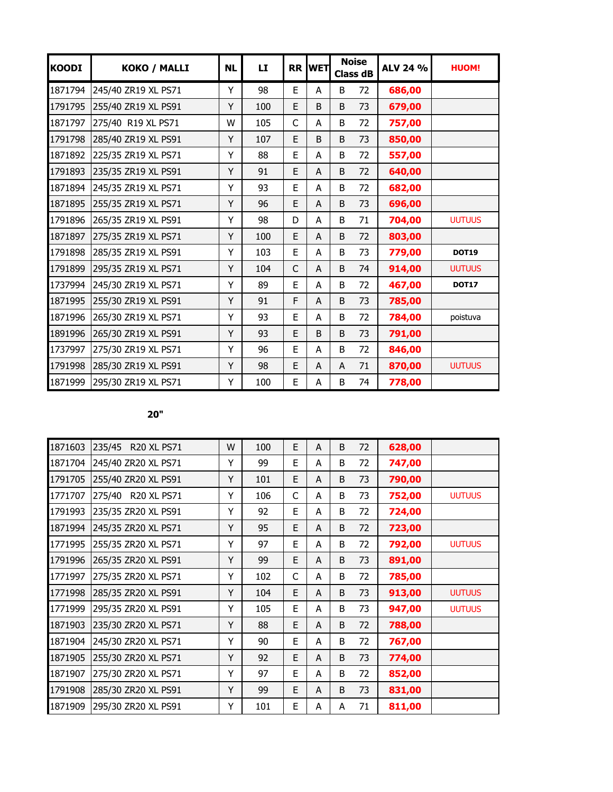| <b>KOODI</b> | KOKO / MALLI        | <b>NL</b> | LI  |    | <b>RR WET</b> |   | <b>Noise</b><br><b>Class dB</b> | ALV 24 % | <b>HUOM!</b>  |
|--------------|---------------------|-----------|-----|----|---------------|---|---------------------------------|----------|---------------|
| 1871794      | 245/40 ZR19 XL PS71 | Y         | 98  | E  | A             | B | 72                              | 686,00   |               |
| 1791795      | 255/40 ZR19 XL PS91 | Y         | 100 | E  | B             | B | 73                              | 679,00   |               |
| 1871797      | 275/40 R19 XL PS71  | W         | 105 | C  | A             | B | 72                              | 757,00   |               |
| 1791798      | 285/40 ZR19 XL PS91 | Υ         | 107 | E  | B             | B | 73                              | 850,00   |               |
| 1871892      | 225/35 ZR19 XL PS71 | Y         | 88  | E  | A             | B | 72                              | 557,00   |               |
| 1791893      | 235/35 ZR19 XL PS91 | Υ         | 91  | E  | A             | B | 72                              | 640,00   |               |
| 1871894      | 245/35 ZR19 XL PS71 | Y         | 93  | E  | A             | B | 72                              | 682,00   |               |
| 1871895      | 255/35 ZR19 XL PS71 | Y         | 96  | E  | A             | B | 73                              | 696,00   |               |
| 1791896      | 265/35 ZR19 XL PS91 | Υ         | 98  | D  | A             | B | 71                              | 704,00   | <b>UUTUUS</b> |
| 1871897      | 275/35 ZR19 XL PS71 | Y         | 100 | E. | A             | B | 72                              | 803,00   |               |
| 1791898      | 285/35 ZR19 XL PS91 | Y         | 103 | E  | A             | B | 73                              | 779,00   | <b>DOT19</b>  |
| 1791899      | 295/35 ZR19 XL PS71 | Y         | 104 | C  | A             | B | 74                              | 914,00   | <b>UUTUUS</b> |
| 1737994      | 245/30 ZR19 XL PS71 | Υ         | 89  | E  | A             | B | 72                              | 467,00   | <b>DOT17</b>  |
| 1871995      | 255/30 ZR19 XL PS91 | Y         | 91  | F  | A             | B | 73                              | 785,00   |               |
| 1871996      | 265/30 ZR19 XL PS71 | Y         | 93  | E  | A             | B | 72                              | 784,00   | poistuva      |
| 1891996      | 265/30 ZR19 XL PS91 | Υ         | 93  | E  | B             | B | 73                              | 791,00   |               |
| 1737997      | 275/30 ZR19 XL PS71 | Υ         | 96  | E  | A             | B | 72                              | 846,00   |               |
| 1791998      | 285/30 ZR19 XL PS91 | Υ         | 98  | E  | A             | A | 71                              | 870,00   | <b>UUTUUS</b> |
| 1871999      | 295/30 ZR19 XL PS71 | Υ         | 100 | E  | A             | B | 74                              | 778,00   |               |

| 1871603 | 235/45<br><b>R20 XL PS71</b> | W | 100 | E  | A | B | 72 | 628,00 |               |
|---------|------------------------------|---|-----|----|---|---|----|--------|---------------|
| 1871704 | 245/40 ZR20 XL PS71          | Υ | 99  | E. | A | B | 72 | 747,00 |               |
| 1791705 | 255/40 ZR20 XL PS91          | Υ | 101 | E. | A | B | 73 | 790,00 |               |
| 1771707 | 275/40 R20 XL PS71           | Y | 106 | C  | A | B | 73 | 752,00 | <b>UUTUUS</b> |
| 1791993 | 235/35 ZR20 XL PS91          | Υ | 92  | E. | A | B | 72 | 724,00 |               |
| 1871994 | 245/35 ZR20 XL PS71          | Y | 95  | E. | A | B | 72 | 723,00 |               |
| 1771995 | 255/35 ZR20 XL PS71          | Y | 97  | Е  | A | B | 72 | 792,00 | <b>UUTUUS</b> |
| 1791996 | 265/35 ZR20 XL PS91          | Y | 99  | E  | A | B | 73 | 891,00 |               |
| 1771997 | 275/35 ZR20 XL PS71          | Υ | 102 | C  | A | B | 72 | 785,00 |               |
| 1771998 | 285/35 ZR20 XL PS91          | Υ | 104 | E. | A | B | 73 | 913,00 | <b>UUTUUS</b> |
| 1771999 | 295/35 ZR20 XL PS91          | Y | 105 | E. | A | B | 73 | 947,00 | <b>UUTUUS</b> |
| 1871903 | 235/30 ZR20 XL PS71          | Y | 88  | E. | A | B | 72 | 788,00 |               |
| 1871904 | 245/30 ZR20 XL PS71          | Υ | 90  | E  | A | B | 72 | 767,00 |               |
| 1871905 | 255/30 ZR20 XL PS71          | Y | 92  | E. | A | B | 73 | 774,00 |               |
| 1871907 | 275/30 ZR20 XL PS71          | Υ | 97  | E  | A | B | 72 | 852,00 |               |
| 1791908 | 285/30 ZR20 XL PS91          | Υ | 99  | E. | A | B | 73 | 831,00 |               |
| 1871909 | 295/30 ZR20 XL PS91          | Y | 101 | E  | A | A | 71 | 811,00 |               |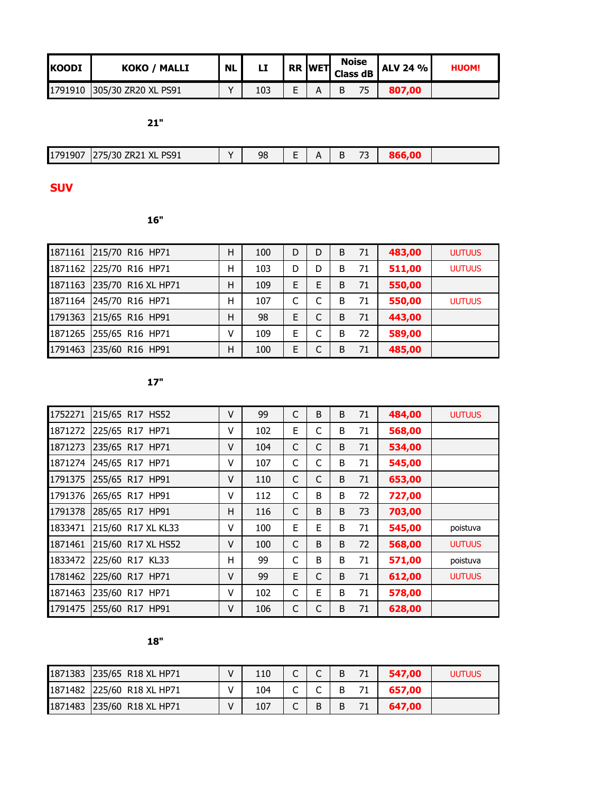| IKOODI | <b>KOKO / MALLI</b>         | <b>NL</b> | <b>TER WET Class dB I</b> |  | <b>Noise</b> | <b>ALV 24 %</b> | <b>HUOM!</b> |
|--------|-----------------------------|-----------|---------------------------|--|--------------|-----------------|--------------|
|        | 1791910 305/30 ZR20 XL PS91 |           | 103                       |  | 75           | 807.00          |              |

| $-1$<br>90,<br>- <i>1</i> v | DCO <sub>1</sub><br>$\mathbf{v}$<br>73U<br><b>LOAT</b><br>LNLI<br>∧∟ | $\mathbf{v}$ | 98 | $\overline{\phantom{a}}$ |  | $-$ |  |
|-----------------------------|----------------------------------------------------------------------|--------------|----|--------------------------|--|-----|--|

**SUV** 

 $16"$ 

| 1871161 | 215/70 R16 HP71         | н | 100 | D | D | B | 71 | 483,00 | <b>UUTUUS</b> |
|---------|-------------------------|---|-----|---|---|---|----|--------|---------------|
|         | 1871162 225/70 R16 HP71 | н | 103 | D |   | B | 71 | 511,00 | <b>UUTUUS</b> |
| 1871163 | 235/70 R16 XL HP71      | н | 109 | E | E | B | 71 | 550,00 |               |
| 1871164 | 245/70 R16 HP71         | Н | 107 | C |   | B | 71 | 550,00 | <b>UUTUUS</b> |
| 1791363 | 215/65 R16 HP91         | н | 98  | E |   | B | 71 | 443,00 |               |
| 1871265 | 255/65 R16 HP71         | ٧ | 109 | E |   | B | 72 | 589,00 |               |
| 1791463 | 235/60 R16 HP91         | Н | 100 | E |   | B | 71 | 485,00 |               |

| 1752271 | 215/65 R17 HS52    | ۷ | 99  | C | B | B | 71 | 484,00 | <b>UUTUUS</b> |
|---------|--------------------|---|-----|---|---|---|----|--------|---------------|
| 1871272 | 225/65 R17 HP71    | v | 102 | E | C | B | 71 | 568,00 |               |
| 1871273 | 235/65 R17 HP71    | ۷ | 104 | C | C | B | 71 | 534,00 |               |
| 1871274 | 245/65 R17 HP71    | ٧ | 107 | C | C | B | 71 | 545,00 |               |
| 1791375 | 255/65 R17 HP91    | v | 110 | C | C | B | 71 | 653,00 |               |
| 1791376 | 265/65 R17 HP91    | ٧ | 112 | С | B | B | 72 | 727,00 |               |
| 1791378 | 285/65 R17 HP91    | н | 116 | C | B | B | 73 | 703,00 |               |
| 1833471 | 215/60 R17 XL KL33 | v | 100 | E | E | B | 71 | 545,00 | poistuva      |
| 1871461 | 215/60 R17 XL HS52 | v | 100 | C | B | B | 72 | 568,00 | <b>UUTUUS</b> |
| 1833472 | 225/60 R17 KL33    | н | 99  | C | B | B | 71 | 571,00 | poistuva      |
| 1781462 | 225/60 R17 HP71    | v | 99  | E | C | B | 71 | 612,00 | <b>UUTUUS</b> |
| 1871463 | 235/60 R17 HP71    | v | 102 | C | E | B | 71 | 578,00 |               |
| 1791475 | 255/60 R17 HP91    | V | 106 | C | С | B | 71 | 628,00 |               |

|    | -- |
|----|----|
| n, |    |
|    |    |

| 1871383 235/65 R18 XL HP71 | 110 |   | B | 547.00 | <b>UUTUUS</b> |
|----------------------------|-----|---|---|--------|---------------|
| 1871482 225/60 R18 XL HP71 | 104 |   | B | 657.00 |               |
| 1871483 235/60 R18 XL HP71 | 107 | B | B | 647.00 |               |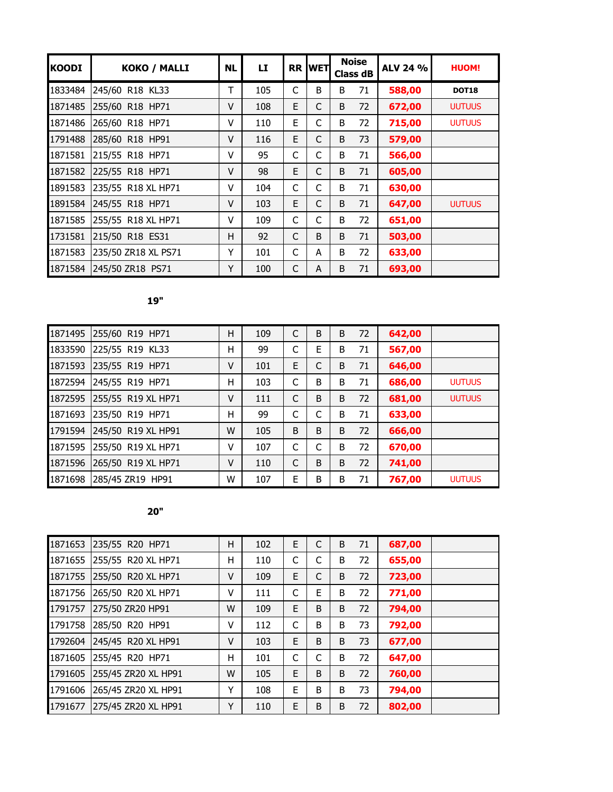| <b>KOODI</b> | <b>KOKO / MALLI</b> | <b>NL</b> | LI. |    | <b>RR IWET</b> |   | <b>Noise</b><br><b>Class dB</b> | ALV 24 % | <b>HUOM!</b>  |
|--------------|---------------------|-----------|-----|----|----------------|---|---------------------------------|----------|---------------|
| 1833484      | 245/60 R18 KL33     | Т         | 105 | C  | B              | B | 71                              | 588,00   | <b>DOT18</b>  |
| 1871485      | 255/60 R18 HP71     | V         | 108 | E. | C              | B | 72                              | 672,00   | <b>UUTUUS</b> |
| 1871486      | 265/60 R18 HP71     | ۷         | 110 | E  | C              | B | 72                              | 715,00   | <b>UUTUUS</b> |
| 1791488      | 285/60 R18 HP91     | V         | 116 | E. | C              | B | 73                              | 579,00   |               |
| 1871581      | 215/55 R18 HP71     | v         | 95  | C  | C              | B | 71                              | 566,00   |               |
| 1871582      | 225/55 R18 HP71     | V         | 98  | E. | C              | B | 71                              | 605,00   |               |
| 1891583      | 235/55 R18 XL HP71  | v         | 104 | С  | C              | B | 71                              | 630,00   |               |
| 1891584      | 245/55 R18 HP71     | V         | 103 | E  | C              | B | 71                              | 647,00   | <b>UUTUUS</b> |
| 1871585      | 255/55 R18 XL HP71  | v         | 109 | C  | C              | B | 72                              | 651,00   |               |
| 1731581      | 215/50 R18 ES31     | н         | 92  | C  | B              | B | 71                              | 503,00   |               |
| 1871583      | 235/50 ZR18 XL PS71 | Y         | 101 | C  | A              | B | 72                              | 633,00   |               |
| 1871584      | 245/50 ZR18 PS71    | Y         | 100 | C  | A              | B | 71                              | 693,00   |               |

| 1871495 | 255/60 R19 HP71    | Η | 109 | C  | B | B | 72 | 642,00 |               |
|---------|--------------------|---|-----|----|---|---|----|--------|---------------|
| 1833590 | 225/55 R19 KL33    | Н | 99  |    | E | B | 71 | 567,00 |               |
| 1871593 | 235/55 R19 HP71    | ۷ | 101 | E. |   | B | 71 | 646,00 |               |
| 1872594 | 245/55 R19 HP71    | Н | 103 | C  | B | B | 71 | 686,00 | <b>UUTUUS</b> |
| 1872595 | 255/55 R19 XL HP71 | v | 111 | C  | B | B | 72 | 681,00 | <b>UUTUUS</b> |
| 1871693 | 235/50 R19 HP71    | Н | 99  | C  |   | B | 71 | 633,00 |               |
| 1791594 | 245/50 R19 XL HP91 | W | 105 | B  | B | B | 72 | 666,00 |               |
| 1871595 | 255/50 R19 XL HP71 | V | 107 | C  | C | B | 72 | 670,00 |               |
| 1871596 | 265/50 R19 XL HP71 | v | 110 | C  | B | B | 72 | 741,00 |               |
| 1871698 | 285/45 ZR19 HP91   | W | 107 | E  | B | B | 71 | 767,00 | <b>UUTUUS</b> |

| 1871653 | 235/55 R20 HP71     | н | 102 | E | C | B | 71 | 687,00 |  |
|---------|---------------------|---|-----|---|---|---|----|--------|--|
| 1871655 | 255/55 R20 XL HP71  | н | 110 | C | C | B | 72 | 655,00 |  |
| 1871755 | 255/50 R20 XL HP71  | ٧ | 109 | E | C | B | 72 | 723,00 |  |
| 1871756 | 265/50 R20 XL HP71  | ۷ | 111 | C | E | B | 72 | 771,00 |  |
| 1791757 | 275/50 ZR20 HP91    | W | 109 | E | B | B | 72 | 794,00 |  |
| 1791758 | 285/50 R20 HP91     | ٧ | 112 | C | B | B | 73 | 792,00 |  |
| 1792604 | 245/45 R20 XL HP91  | V | 103 | E | B | B | 73 | 677,00 |  |
| 1871605 | 255/45 R20 HP71     | Η | 101 | C |   | B | 72 | 647,00 |  |
| 1791605 | 255/45 ZR20 XL HP91 | W | 105 | E | B | B | 72 | 760,00 |  |
| 1791606 | 265/45 ZR20 XL HP91 | Y | 108 | E | B | B | 73 | 794,00 |  |
| 1791677 | 275/45 ZR20 XL HP91 | Υ | 110 | E | B | B | 72 | 802,00 |  |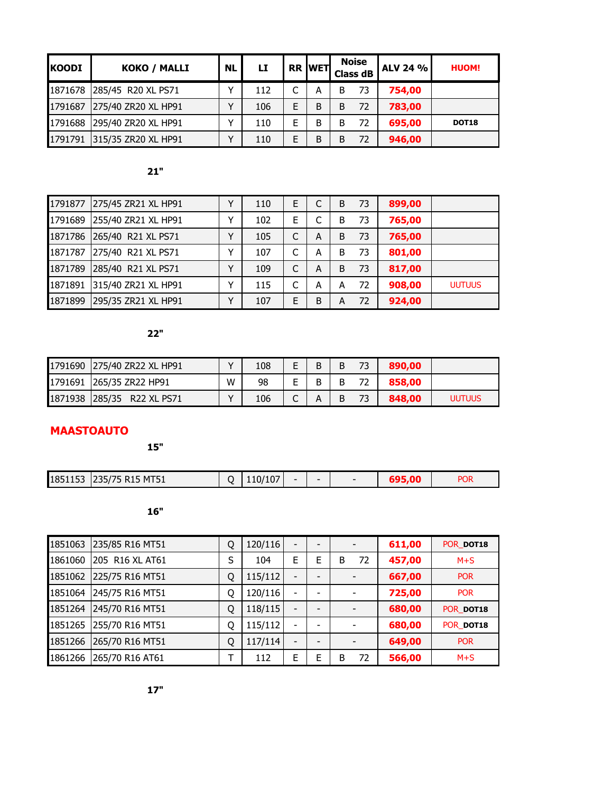| <b>KOODI</b> | KOKO / MALLI        | <b>NL</b> | LI  |   | <b>RR WET</b> |   | <b>Noise</b><br><b>Class dB</b> | <b>ALV 24 %</b> | <b>HUOM!</b> |
|--------------|---------------------|-----------|-----|---|---------------|---|---------------------------------|-----------------|--------------|
| 1871678      | 285/45 R20 XL PS71  |           | 112 |   | А             | B | 73                              | 754,00          |              |
| 1791687      | 275/40 ZR20 XL HP91 |           | 106 | F | B             | B | 72                              | 783,00          |              |
| 1791688      | 295/40 ZR20 XL HP91 |           | 110 |   | B             | B | 72                              | 695,00          | <b>DOT18</b> |
| 1791791      | 315/35 ZR20 XL HP91 |           | 110 |   | B             | В | 72                              | 946,00          |              |

| 1791877 | 275/45 ZR21 XL HP91 | v            | 110 | E |   | B | 73 | 899,00 |               |
|---------|---------------------|--------------|-----|---|---|---|----|--------|---------------|
| 1791689 | 255/40 ZR21 XL HP91 |              | 102 | E |   | B | 73 | 765,00 |               |
| 1871786 | 265/40 R21 XL PS71  | v            | 105 | C | A | B | 73 | 765,00 |               |
| 1871787 | 275/40 R21 XL PS71  | v            | 107 | ┌ | А | B | 73 | 801,00 |               |
| 1871789 | 285/40 R21 XL PS71  | $\checkmark$ | 109 | C | A | B | 73 | 817,00 |               |
| 1871891 | 315/40 ZR21 XL HP91 | v            | 115 | C | А | А | 72 | 908,00 | <b>UUTUUS</b> |
| 1871899 | 295/35 ZR21 XL HP91 | v            | 107 | Е | B | A | 72 | 924,00 |               |

## **22"**

| 1791690 275/40 ZR22 XL HP91 |   | 108 |  |  | 890,00 |               |
|-----------------------------|---|-----|--|--|--------|---------------|
| 1791691 265/35 ZR22 HP91    | W | 98  |  |  | 858,00 |               |
| 1871938 285/35 R22 XL PS71  |   | 106 |  |  | 848,00 | <b>UUTUUS</b> |

# **MAASTOAUTO**

**15"**

| 1851153 | 235/75 R15 MT51 | 110/107 |  | $\overline{\phantom{a}}$ | <b>POR</b> |
|---------|-----------------|---------|--|--------------------------|------------|
|         |                 |         |  |                          |            |

| 1851063 | 235/85 R16 MT51 | Q | 120/116 |                              |   |         | 611,00 | POR DOT18  |
|---------|-----------------|---|---------|------------------------------|---|---------|--------|------------|
| 1861060 | 205 R16 XL AT61 | S | 104     | E                            | E | 72<br>B | 457,00 | $M+S$      |
| 1851062 | 225/75 R16 MT51 | Q | 115/112 | $\qquad \qquad$              |   |         | 667,00 | <b>POR</b> |
| 1851064 | 245/75 R16 MT51 | Q | 120/116 |                              |   |         | 725,00 | <b>POR</b> |
| 1851264 | 245/70 R16 MT51 | Q | 118/115 | $\qquad \qquad \blacksquare$ |   |         | 680,00 | POR DOT18  |
| 1851265 | 255/70 R16 MT51 | Q | 115/112 | $\overline{\phantom{a}}$     |   |         | 680,00 | POR DOT18  |
| 1851266 | 265/70 R16 MT51 | Q | 117/114 |                              |   |         | 649,00 | <b>POR</b> |
| 1861266 | 265/70 R16 AT61 | т | 112     | E                            | F | 72<br>B | 566,00 | $M+S$      |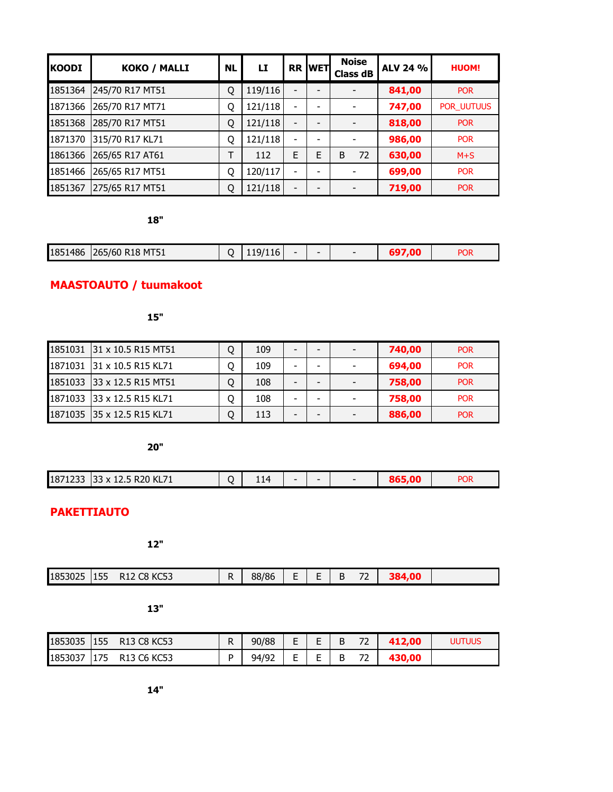| <b>KOODI</b> | KOKO / MALLI    | <b>NL</b> | LI      |                 | <b>RR WET</b> | <b>Noise</b><br><b>Class dB</b> | ALV 24 % | <b>HUOM!</b>      |
|--------------|-----------------|-----------|---------|-----------------|---------------|---------------------------------|----------|-------------------|
| 1851364      | 245/70 R17 MT51 | Q         | 119/116 |                 |               |                                 | 841,00   | <b>POR</b>        |
| 1871366      | 265/70 R17 MT71 | Q         | 121/118 |                 |               |                                 | 747,00   | <b>POR UUTUUS</b> |
| 1851368      | 285/70 R17 MT51 | Q         | 121/118 | $\qquad \qquad$ |               |                                 | 818,00   | <b>POR</b>        |
| 1871370      | 315/70 R17 KL71 | Q         | 121/118 |                 |               |                                 | 986,00   | <b>POR</b>        |
| 1861366      | 265/65 R17 AT61 | Т         | 112     | E               | E             | 72<br>B                         | 630,00   | $M+S$             |
| 1851466      | 265/65 R17 MT51 | Q         | 120/117 |                 |               |                                 | 699,00   | <b>POR</b>        |
| 1851367      | 275/65 R17 MT51 | Q         | 121/118 |                 |               |                                 | 719,00   | <b>POR</b>        |

| 1851486 | 265/60 R18 MT51 | 'lib | - |  | <b>POR</b> |
|---------|-----------------|------|---|--|------------|
|         |                 |      |   |  |            |

# **MAASTOAUTO / tuumakoot**

**15"**

| 1851031 31 x 10.5 R15 MT51 | Q | 109 |   | $\overline{\phantom{a}}$ | 740.00 | <b>POR</b> |
|----------------------------|---|-----|---|--------------------------|--------|------------|
| 1871031 31 x 10.5 R15 KL71 | 0 | 109 | - |                          | 694,00 | <b>POR</b> |
| 1851033 33 x 12.5 R15 MT51 |   | 108 | - | $\overline{\phantom{0}}$ | 758,00 | <b>POR</b> |
| 1871033 33 x 12.5 R15 KL71 | 0 | 108 | - |                          | 758,00 | <b>POR</b> |
| 1871035 35 x 12.5 R15 KL71 | Q | 113 |   |                          | 886,00 | <b>POR</b> |

**20"**

| 14<br>-<br>-<br>-- - | 1871233 | 33 x 12.5 R20 KL71 |  |  |  |  |  |  | <b>POR</b> |
|----------------------|---------|--------------------|--|--|--|--|--|--|------------|
|----------------------|---------|--------------------|--|--|--|--|--|--|------------|

# **PAKETTIAUTO**

**12"**

| 88/86<br>1853025<br>155<br>n.<br>ככשוו<br>◝◝∸<br>ັບ<br>-<br>. . |
|-----------------------------------------------------------------|
|-----------------------------------------------------------------|

| 1853035 | 155  | R13 C8 KC53 | R | 90/88 | -<br>-<br>- |        | -- | 2.00 | uutuus |
|---------|------|-------------|---|-------|-------------|--------|----|------|--------|
| 1853037 | 1175 | R13 C6 KC53 | D | 94/92 | -<br>-<br>- | Е<br>- | -- |      |        |